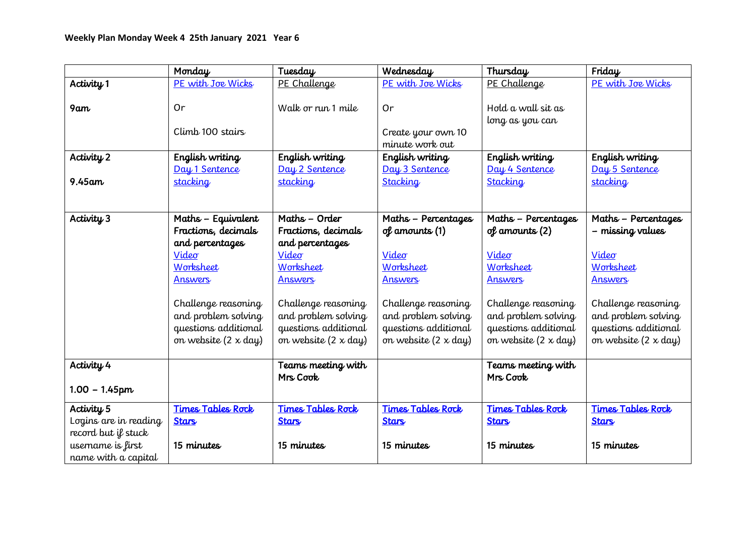|                       | Monday                      | Tuesday                        | Wednesday                   | Thursday                       | Friday                      |
|-----------------------|-----------------------------|--------------------------------|-----------------------------|--------------------------------|-----------------------------|
| Activity 1            | PE with Joe Wicks           | PE Challenge                   | PE with Joe Wicks           | PE Challenge                   | PE with Joe Wicks           |
|                       |                             |                                |                             |                                |                             |
| 9am                   | Or                          | Walk or run 1 mile             | Or                          | Hold a wall sit as             |                             |
|                       |                             |                                |                             | long as you can                |                             |
|                       | Climb 100 stairs            |                                | Create your own 10          |                                |                             |
|                       |                             |                                | minute work out             |                                |                             |
| Activity 2            | English writing             | English writing                | English writing             | English writing                | English writing             |
|                       | Day 1 Sentence              | Day 2 Sentence                 | Day 3 Sentence              | Day 4 Sentence                 | Day 5 Sentence              |
| $9.45$ am             | <b>stacking</b>             | stacking                       | <b>Stacking</b>             | Stacking                       | <b>stacking</b>             |
|                       |                             |                                |                             |                                |                             |
|                       |                             |                                |                             |                                |                             |
| Activity 3            | Maths - Equivalent          | Maths - Order                  | Maths - Percentages         | Maths - Percentages            | Maths - Percentages         |
|                       | Fractions, decimals         | Fractions, decimals            | of amounts (1)              | $of$ amounts $(2)$             | - missing values            |
|                       | and percentages             | and percentages                |                             |                                |                             |
|                       | Video                       | Video                          | Video                       | Video                          | Video                       |
|                       | Worksheet                   | Worksheet                      | Worksheet                   | Worksheet                      | Worksheet                   |
|                       | <b>Answers</b>              | <b>Answers</b>                 | <b>Answers</b>              | <b>Answers</b>                 | <b>Answers</b>              |
|                       |                             |                                |                             |                                |                             |
|                       | Challenge reasoning         | Challenge reasoning            | Challenge reasoning         | Challenge reasoning            | Challenge reasoning         |
|                       | and problem solving         | and problem solving            | and problem solving         | and problem solving            | and problem solving         |
|                       | questions additional        | questions additional           | questions additional        | questions additional           | questions additional        |
|                       | on website $(2 \times day)$ | on website $(2 \times day)$    | on website $(2 \times day)$ | on website $(2 \times day)$    | on website $(2 \times day)$ |
| Activity 4            |                             |                                |                             |                                |                             |
|                       |                             | Teams meeting with<br>Mrs Cook |                             | Teams meeting with<br>Mrs Cook |                             |
| $1.00 - 1.45$ pm      |                             |                                |                             |                                |                             |
|                       |                             |                                |                             |                                |                             |
| Activity 5            | <b>Times Tables Rock</b>    | <b>Times Tables Rock</b>       | <b>Times Tables Rock</b>    | <b>Times Tables Rock</b>       | <b>Times Tables Rock</b>    |
| Logins are in reading | <b>Stars</b>                | <b>Stars</b>                   | <b>Stars</b>                | <b>Stars</b>                   | <b>Stars</b>                |
| record but if stuck   |                             |                                |                             |                                |                             |
| username is first     | 15 minutes                  | 15 minutes                     | 15 minutes                  | 15 minutes                     | 15 minutes                  |
| name with a capital   |                             |                                |                             |                                |                             |